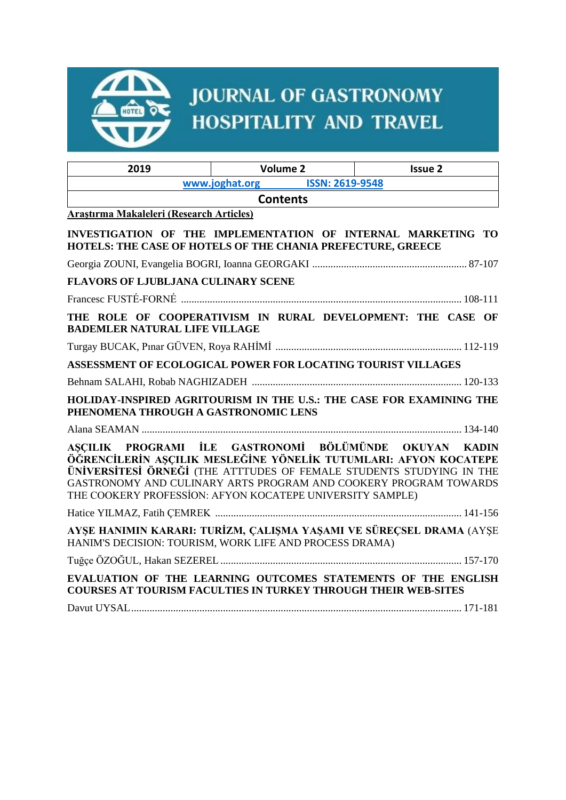

# **JOURNAL OF GASTRONOMY** HOSPITALITY AND TRAVEL

| 2019                                                                                                                                   | <b>Volume 2</b>                                                                                                                                                                                       | <b>Issue 2</b> |
|----------------------------------------------------------------------------------------------------------------------------------------|-------------------------------------------------------------------------------------------------------------------------------------------------------------------------------------------------------|----------------|
|                                                                                                                                        |                                                                                                                                                                                                       |                |
| <b>Contents</b>                                                                                                                        |                                                                                                                                                                                                       |                |
| Araştırma Makaleleri (Research Articles)                                                                                               |                                                                                                                                                                                                       |                |
| INVESTIGATION OF THE IMPLEMENTATION OF INTERNAL MARKETING TO<br><b>HOTELS: THE CASE OF HOTELS OF THE CHANIA PREFECTURE, GREECE</b>     |                                                                                                                                                                                                       |                |
|                                                                                                                                        |                                                                                                                                                                                                       |                |
| <b>FLAVORS OF LJUBLJANA CULINARY SCENE</b>                                                                                             |                                                                                                                                                                                                       |                |
|                                                                                                                                        |                                                                                                                                                                                                       |                |
| <b>BADEMLER NATURAL LIFE VILLAGE</b>                                                                                                   | THE ROLE OF COOPERATIVISM IN RURAL DEVELOPMENT: THE CASE OF                                                                                                                                           |                |
|                                                                                                                                        |                                                                                                                                                                                                       |                |
| ASSESSMENT OF ECOLOGICAL POWER FOR LOCATING TOURIST VILLAGES                                                                           |                                                                                                                                                                                                       |                |
|                                                                                                                                        |                                                                                                                                                                                                       |                |
| HOLIDAY-INSPIRED AGRITOURISM IN THE U.S.: THE CASE FOR EXAMINING THE<br>PHENOMENA THROUGH A GASTRONOMIC LENS                           |                                                                                                                                                                                                       |                |
|                                                                                                                                        |                                                                                                                                                                                                       |                |
| AŞÇILIK PROGRAMI İLE GASTRONOMİ BÖLÜMÜNDE<br>ÖĞRENCİLERİN AŞÇILIK MESLEĞİNE YÖNELİK TUTUMLARI: AFYON KOCATEPE                          | ÜNIVERSITESI ÖRNEĞI (THE ATTTUDES OF FEMALE STUDENTS STUDYING IN THE<br>GASTRONOMY AND CULINARY ARTS PROGRAM AND COOKERY PROGRAM TOWARDS<br>THE COOKERY PROFESSION: AFYON KOCATEPE UNIVERSITY SAMPLE) | OKUYAN KADIN   |
|                                                                                                                                        |                                                                                                                                                                                                       |                |
| AYŞE HANIMIN KARARI: TURİZM, ÇALIŞMA YAŞAMI VE SÜREÇSEL DRAMA (AYŞE<br>HANIM'S DECISION: TOURISM, WORK LIFE AND PROCESS DRAMA)         |                                                                                                                                                                                                       |                |
|                                                                                                                                        |                                                                                                                                                                                                       |                |
| EVALUATION OF THE LEARNING OUTCOMES STATEMENTS OF THE ENGLISH<br><b>COURSES AT TOURISM FACULTIES IN TURKEY THROUGH THEIR WEB-SITES</b> |                                                                                                                                                                                                       |                |
|                                                                                                                                        |                                                                                                                                                                                                       |                |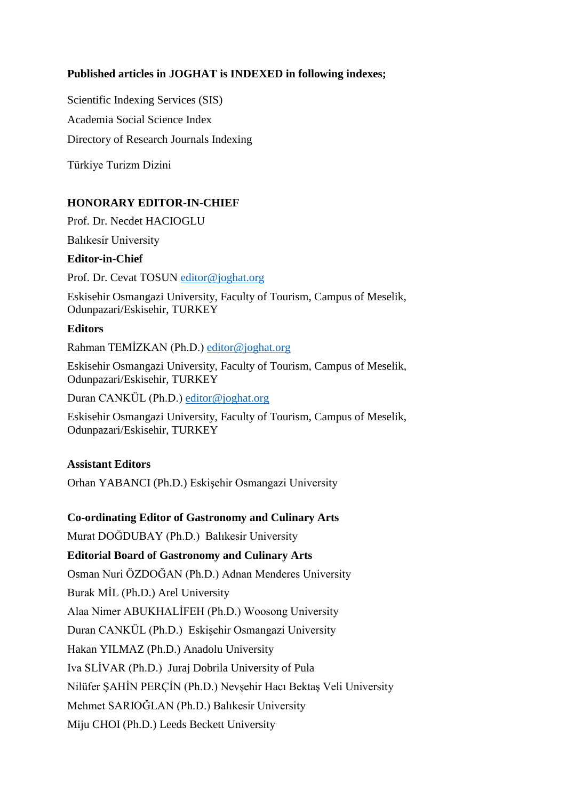## **Published articles in JOGHAT is INDEXED in following indexes;**

Scientific Indexing Services (SIS) Academia Social Science Index Directory of Research Journals Indexing

Türkiye Turizm Dizini

## **HONORARY EDITOR-IN-CHIEF**

Prof. Dr. Necdet HACIOGLU

Balıkesir University

#### **Editor-in-Chief**

Prof. Dr. Cevat TOSUN [editor@joghat.org](mailto:editor@joghat.org)

Eskisehir Osmangazi University, Faculty of Tourism, Campus of Meselik, Odunpazari/Eskisehir, TURKEY

#### **Editors**

Rahman TEMİZKAN (Ph.D.) [editor@joghat.org](mailto:editor@joghat.org)

Eskisehir Osmangazi University, Faculty of Tourism, Campus of Meselik, Odunpazari/Eskisehir, TURKEY

Duran CANKÜL (Ph.D.) [editor@joghat.org](mailto:editor@joghat.org)

Eskisehir Osmangazi University, Faculty of Tourism, Campus of Meselik, Odunpazari/Eskisehir, TURKEY

## **Assistant Editors**

Orhan YABANCI (Ph.D.) Eskişehir Osmangazi University

## **Co-ordinating Editor of Gastronomy and Culinary Arts**

Murat DOĞDUBAY (Ph.D.) Balıkesir University

## **Editorial Board of Gastronomy and Culinary Arts**

Osman Nuri ÖZDOĞAN (Ph.D.) Adnan Menderes University

Burak MİL (Ph.D.) Arel University

Alaa Nimer ABUKHALİFEH (Ph.D.) Woosong University

Duran CANKÜL (Ph.D.) Eskişehir Osmangazi University

Hakan YILMAZ (Ph.D.) Anadolu University

Iva SLİVAR (Ph.D.) Juraj Dobrila University of Pula

Nilüfer ŞAHİN PERÇİN (Ph.D.) Nevşehir Hacı Bektaş Veli University

Mehmet SARIOĞLAN (Ph.D.) Balıkesir University

Miju CHOI (Ph.D.) Leeds Beckett University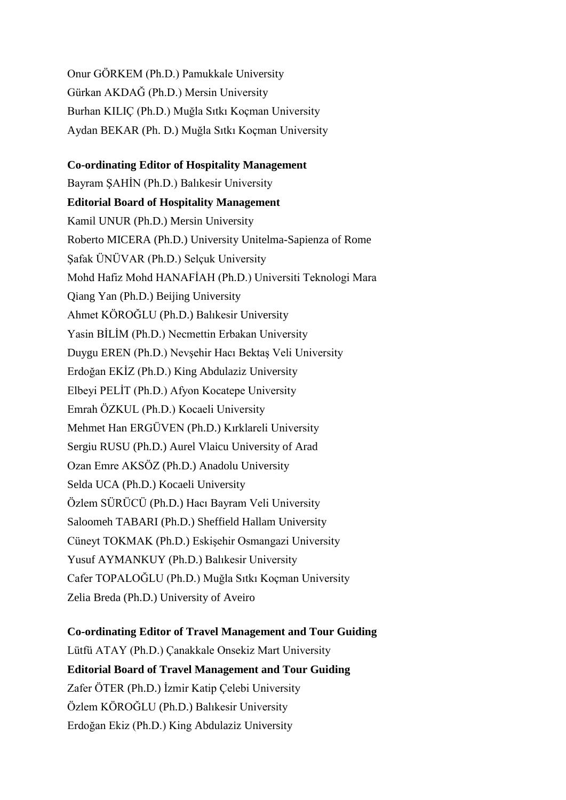Onur GÖRKEM (Ph.D.) Pamukkale University Gürkan AKDAĞ (Ph.D.) Mersin University Burhan KILIÇ (Ph.D.) Muğla Sıtkı Koçman University Aydan BEKAR (Ph. D.) Muğla Sıtkı Koçman University

#### **Co-ordinating Editor of Hospitality Management**

Bayram ŞAHİN (Ph.D.) Balıkesir University **Editorial Board of Hospitality Management** Kamil UNUR (Ph.D.) Mersin University Roberto MICERA (Ph.D.) University Unitelma-Sapienza of Rome Şafak ÜNÜVAR (Ph.D.) Selçuk University Mohd Hafiz Mohd HANAFİAH (Ph.D.) Universiti Teknologi Mara Qiang Yan (Ph.D.) Beijing University Ahmet KÖROĞLU (Ph.D.) Balıkesir University Yasin BİLİM (Ph.D.) Necmettin Erbakan University Duygu EREN (Ph.D.) Nevşehir Hacı Bektaş Veli University Erdoğan EKİZ (Ph.D.) King Abdulaziz University Elbeyi PELİT (Ph.D.) Afyon Kocatepe University Emrah ÖZKUL (Ph.D.) Kocaeli University Mehmet Han ERGÜVEN (Ph.D.) Kırklareli University Sergiu RUSU (Ph.D.) Aurel Vlaicu University of Arad Ozan Emre AKSÖZ (Ph.D.) Anadolu University Selda UCA (Ph.D.) Kocaeli University Özlem SÜRÜCÜ (Ph.D.) Hacı Bayram Veli University Saloomeh TABARI (Ph.D.) Sheffield Hallam University Cüneyt TOKMAK (Ph.D.) Eskişehir Osmangazi University Yusuf AYMANKUY (Ph.D.) Balıkesir University Cafer TOPALOĞLU (Ph.D.) Muğla Sıtkı Koçman University Zelia Breda (Ph.D.) University of Aveiro

## **Co-ordinating Editor of Travel Management and Tour Guiding**

Lütfü ATAY (Ph.D.) Çanakkale Onsekiz Mart University **Editorial Board of Travel Management and Tour Guiding** Zafer ÖTER (Ph.D.) İzmir Katip Çelebi University Özlem KÖROĞLU (Ph.D.) Balıkesir University Erdoğan Ekiz (Ph.D.) King Abdulaziz University